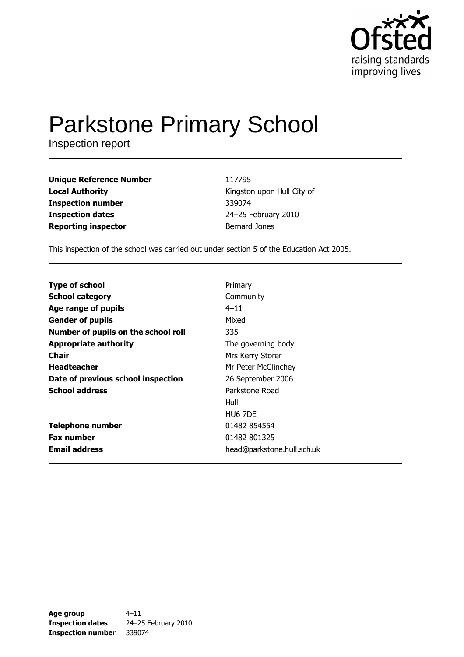

# **Parkstone Primary School**

Inspection report

**Unique Reference Number Local Authority Inspection number Inspection dates Reporting inspector** 

117795 Kingston upon Hull City of 339074 24-25 February 2010 **Bernard Jones** 

This inspection of the school was carried out under section 5 of the Education Act 2005.

**Type of school** Primary **School category** Community Age range of pupils  $4 - 11$ **Gender of pupils** Mixed Number of pupils on the school roll 335 **Appropriate authority** The governing body **Chair** Mrs Kerry Storer **Headteacher** Mr Peter McGlinchey Date of previous school inspection 26 September 2006 **School address** Parkstone Road Hull HU6 7DE **Telephone number** 01482 854554 **Fax number** 01482 801325 **Email address** head@parkstone.hull.sch.uk

| Age group                | $4 - 11$            |
|--------------------------|---------------------|
| <b>Inspection dates</b>  | 24-25 February 2010 |
| <b>Inspection number</b> | 339074              |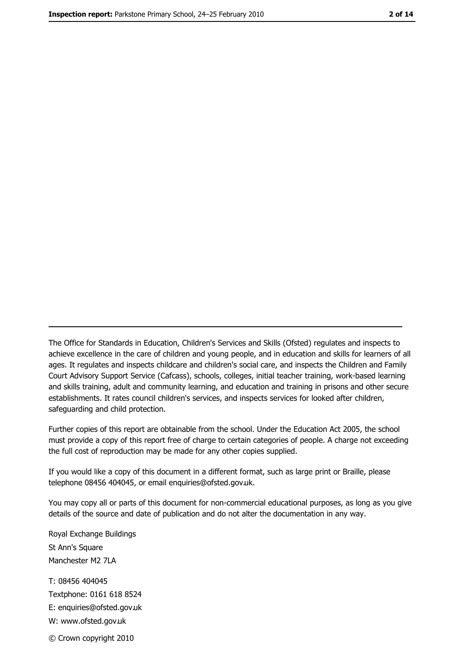The Office for Standards in Education, Children's Services and Skills (Ofsted) regulates and inspects to achieve excellence in the care of children and young people, and in education and skills for learners of all ages. It regulates and inspects childcare and children's social care, and inspects the Children and Family Court Advisory Support Service (Cafcass), schools, colleges, initial teacher training, work-based learning and skills training, adult and community learning, and education and training in prisons and other secure establishments. It rates council children's services, and inspects services for looked after children, safequarding and child protection.

Further copies of this report are obtainable from the school. Under the Education Act 2005, the school must provide a copy of this report free of charge to certain categories of people. A charge not exceeding the full cost of reproduction may be made for any other copies supplied.

If you would like a copy of this document in a different format, such as large print or Braille, please telephone 08456 404045, or email enquiries@ofsted.gov.uk.

You may copy all or parts of this document for non-commercial educational purposes, as long as you give details of the source and date of publication and do not alter the documentation in any way.

Royal Exchange Buildings St Ann's Square Manchester M2 7LA T: 08456 404045 Textphone: 0161 618 8524 E: enquiries@ofsted.gov.uk W: www.ofsted.gov.uk © Crown copyright 2010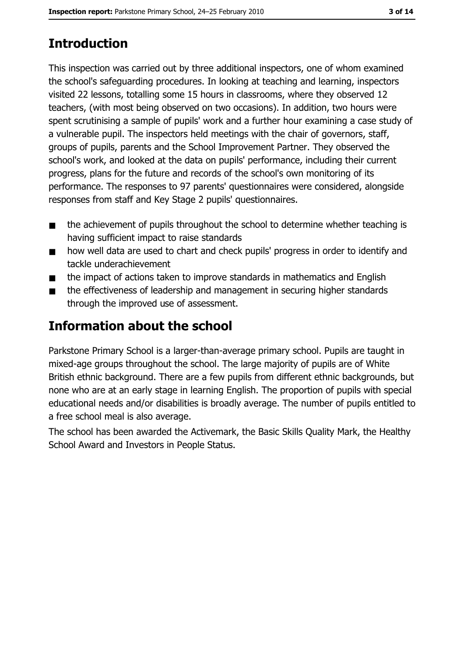# **Introduction**

This inspection was carried out by three additional inspectors, one of whom examined the school's safeguarding procedures. In looking at teaching and learning, inspectors visited 22 lessons, totalling some 15 hours in classrooms, where they observed 12 teachers, (with most being observed on two occasions). In addition, two hours were spent scrutinising a sample of pupils' work and a further hour examining a case study of a vulnerable pupil. The inspectors held meetings with the chair of governors, staff, groups of pupils, parents and the School Improvement Partner. They observed the school's work, and looked at the data on pupils' performance, including their current progress, plans for the future and records of the school's own monitoring of its performance. The responses to 97 parents' questionnaires were considered, alongside responses from staff and Key Stage 2 pupils' questionnaires.

- the achievement of pupils throughout the school to determine whether teaching is  $\blacksquare$ having sufficient impact to raise standards
- how well data are used to chart and check pupils' progress in order to identify and  $\blacksquare$ tackle underachievement
- the impact of actions taken to improve standards in mathematics and English  $\blacksquare$
- the effectiveness of leadership and management in securing higher standards through the improved use of assessment.

# **Information about the school**

Parkstone Primary School is a larger-than-average primary school. Pupils are taught in mixed-age groups throughout the school. The large majority of pupils are of White British ethnic background. There are a few pupils from different ethnic backgrounds, but none who are at an early stage in learning English. The proportion of pupils with special educational needs and/or disabilities is broadly average. The number of pupils entitled to a free school meal is also average.

The school has been awarded the Activemark, the Basic Skills Quality Mark, the Healthy School Award and Investors in People Status.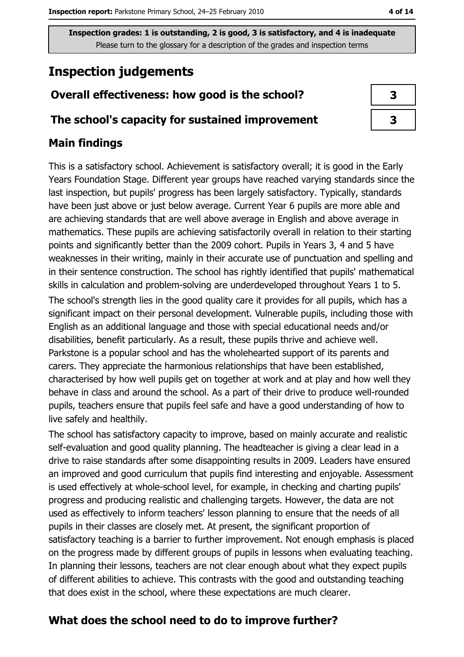# **Inspection judgements**

## Overall effectiveness: how good is the school?

#### The school's capacity for sustained improvement

## **Main findings**

This is a satisfactory school. Achievement is satisfactory overall; it is good in the Early Years Foundation Stage. Different year groups have reached varying standards since the last inspection, but pupils' progress has been largely satisfactory. Typically, standards have been just above or just below average. Current Year 6 pupils are more able and are achieving standards that are well above average in English and above average in mathematics. These pupils are achieving satisfactorily overall in relation to their starting points and significantly better than the 2009 cohort. Pupils in Years 3, 4 and 5 have weaknesses in their writing, mainly in their accurate use of punctuation and spelling and in their sentence construction. The school has rightly identified that pupils' mathematical skills in calculation and problem-solving are underdeveloped throughout Years 1 to 5. The school's strength lies in the good quality care it provides for all pupils, which has a

significant impact on their personal development. Vulnerable pupils, including those with English as an additional language and those with special educational needs and/or disabilities, benefit particularly. As a result, these pupils thrive and achieve well. Parkstone is a popular school and has the wholehearted support of its parents and carers. They appreciate the harmonious relationships that have been established, characterised by how well pupils get on together at work and at play and how well they behave in class and around the school. As a part of their drive to produce well-rounded pupils, teachers ensure that pupils feel safe and have a good understanding of how to live safely and healthily.

The school has satisfactory capacity to improve, based on mainly accurate and realistic self-evaluation and good quality planning. The headteacher is giving a clear lead in a drive to raise standards after some disappointing results in 2009. Leaders have ensured an improved and good curriculum that pupils find interesting and enjoyable. Assessment is used effectively at whole-school level, for example, in checking and charting pupils' progress and producing realistic and challenging targets. However, the data are not used as effectively to inform teachers' lesson planning to ensure that the needs of all pupils in their classes are closely met. At present, the significant proportion of satisfactory teaching is a barrier to further improvement. Not enough emphasis is placed on the progress made by different groups of pupils in lessons when evaluating teaching. In planning their lessons, teachers are not clear enough about what they expect pupils of different abilities to achieve. This contrasts with the good and outstanding teaching that does exist in the school, where these expectations are much clearer.

# What does the school need to do to improve further?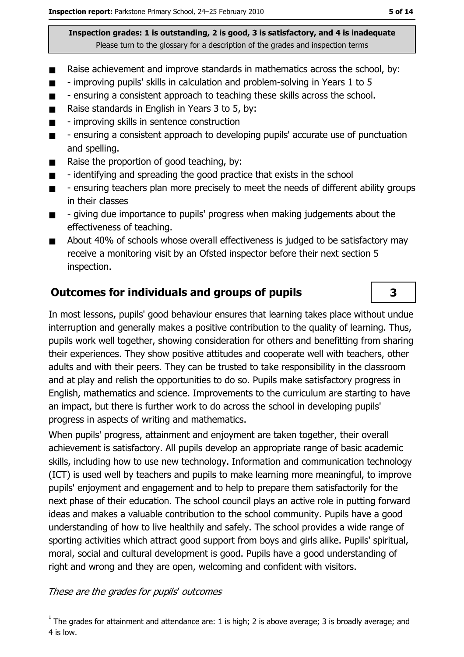- Raise achievement and improve standards in mathematics across the school, by:  $\blacksquare$
- improving pupils' skills in calculation and problem-solving in Years 1 to 5  $\blacksquare$
- ensuring a consistent approach to teaching these skills across the school.  $\blacksquare$
- Raise standards in English in Years 3 to 5, by:  $\blacksquare$
- improving skills in sentence construction  $\blacksquare$
- ensuring a consistent approach to developing pupils' accurate use of punctuation  $\blacksquare$ and spelling.
- Raise the proportion of good teaching, by:  $\blacksquare$
- identifying and spreading the good practice that exists in the school  $\blacksquare$
- ensuring teachers plan more precisely to meet the needs of different ability groups  $\blacksquare$ in their classes
- giving due importance to pupils' progress when making judgements about the  $\blacksquare$ effectiveness of teaching.
- About 40% of schools whose overall effectiveness is judged to be satisfactory may  $\blacksquare$ receive a monitoring visit by an Ofsted inspector before their next section 5 inspection.

#### **Outcomes for individuals and groups of pupils**

In most lessons, pupils' good behaviour ensures that learning takes place without undue interruption and generally makes a positive contribution to the quality of learning. Thus, pupils work well together, showing consideration for others and benefitting from sharing their experiences. They show positive attitudes and cooperate well with teachers, other adults and with their peers. They can be trusted to take responsibility in the classroom and at play and relish the opportunities to do so. Pupils make satisfactory progress in English, mathematics and science. Improvements to the curriculum are starting to have an impact, but there is further work to do across the school in developing pupils' progress in aspects of writing and mathematics.

When pupils' progress, attainment and enjoyment are taken together, their overall achievement is satisfactory. All pupils develop an appropriate range of basic academic skills, including how to use new technology. Information and communication technology (ICT) is used well by teachers and pupils to make learning more meaningful, to improve pupils' enjoyment and engagement and to help to prepare them satisfactorily for the next phase of their education. The school council plays an active role in putting forward ideas and makes a valuable contribution to the school community. Pupils have a good understanding of how to live healthily and safely. The school provides a wide range of sporting activities which attract good support from boys and girls alike. Pupils' spiritual, moral, social and cultural development is good. Pupils have a good understanding of right and wrong and they are open, welcoming and confident with visitors.

These are the grades for pupils' outcomes

3

 $1$  The grades for attainment and attendance are: 1 is high; 2 is above average; 3 is broadly average; and 4 is low.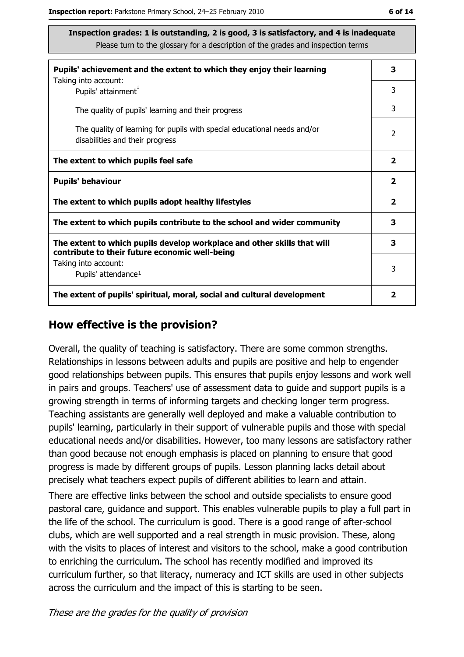| Pupils' achievement and the extent to which they enjoy their learning                                                     |   |
|---------------------------------------------------------------------------------------------------------------------------|---|
| Taking into account:<br>Pupils' attainment <sup>1</sup>                                                                   | 3 |
| The quality of pupils' learning and their progress                                                                        | 3 |
| The quality of learning for pupils with special educational needs and/or<br>disabilities and their progress               |   |
| The extent to which pupils feel safe                                                                                      |   |
| <b>Pupils' behaviour</b>                                                                                                  |   |
| The extent to which pupils adopt healthy lifestyles                                                                       |   |
| The extent to which pupils contribute to the school and wider community                                                   |   |
| The extent to which pupils develop workplace and other skills that will<br>contribute to their future economic well-being |   |
| Taking into account:<br>Pupils' attendance <sup>1</sup>                                                                   |   |
| The extent of pupils' spiritual, moral, social and cultural development                                                   |   |

#### How effective is the provision?

Overall, the quality of teaching is satisfactory. There are some common strengths. Relationships in lessons between adults and pupils are positive and help to engender good relationships between pupils. This ensures that pupils enjoy lessons and work well in pairs and groups. Teachers' use of assessment data to guide and support pupils is a growing strength in terms of informing targets and checking longer term progress. Teaching assistants are generally well deployed and make a valuable contribution to pupils' learning, particularly in their support of vulnerable pupils and those with special educational needs and/or disabilities. However, too many lessons are satisfactory rather than good because not enough emphasis is placed on planning to ensure that good progress is made by different groups of pupils. Lesson planning lacks detail about precisely what teachers expect pupils of different abilities to learn and attain.

There are effective links between the school and outside specialists to ensure good pastoral care, quidance and support. This enables vulnerable pupils to play a full part in the life of the school. The curriculum is good. There is a good range of after-school clubs, which are well supported and a real strength in music provision. These, along with the visits to places of interest and visitors to the school, make a good contribution to enriching the curriculum. The school has recently modified and improved its curriculum further, so that literacy, numeracy and ICT skills are used in other subjects across the curriculum and the impact of this is starting to be seen.

These are the grades for the quality of provision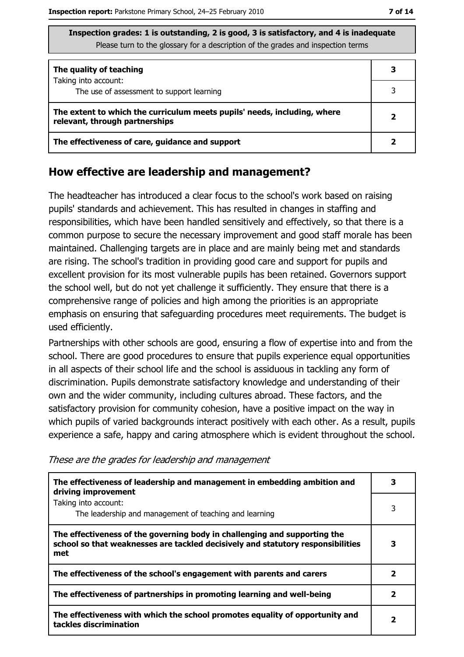| Inspection grades: 1 is outstanding, 2 is good, 3 is satisfactory, and 4 is inadequate |
|----------------------------------------------------------------------------------------|
| Please turn to the glossary for a description of the grades and inspection terms       |

| The quality of teaching                                                                                    |  |
|------------------------------------------------------------------------------------------------------------|--|
| Taking into account:<br>The use of assessment to support learning                                          |  |
| The extent to which the curriculum meets pupils' needs, including, where<br>relevant, through partnerships |  |
| The effectiveness of care, guidance and support                                                            |  |

#### How effective are leadership and management?

The headteacher has introduced a clear focus to the school's work based on raising pupils' standards and achievement. This has resulted in changes in staffing and responsibilities, which have been handled sensitively and effectively, so that there is a common purpose to secure the necessary improvement and good staff morale has been maintained. Challenging targets are in place and are mainly being met and standards are rising. The school's tradition in providing good care and support for pupils and excellent provision for its most vulnerable pupils has been retained. Governors support the school well, but do not yet challenge it sufficiently. They ensure that there is a comprehensive range of policies and high among the priorities is an appropriate emphasis on ensuring that safeguarding procedures meet requirements. The budget is used efficiently.

Partnerships with other schools are good, ensuring a flow of expertise into and from the school. There are good procedures to ensure that pupils experience equal opportunities in all aspects of their school life and the school is assiduous in tackling any form of discrimination. Pupils demonstrate satisfactory knowledge and understanding of their own and the wider community, including cultures abroad. These factors, and the satisfactory provision for community cohesion, have a positive impact on the way in which pupils of varied backgrounds interact positively with each other. As a result, pupils experience a safe, happy and caring atmosphere which is evident throughout the school.

| The effectiveness of leadership and management in embedding ambition and<br>driving improvement                                                                     |                         |
|---------------------------------------------------------------------------------------------------------------------------------------------------------------------|-------------------------|
| Taking into account:<br>The leadership and management of teaching and learning                                                                                      | 3                       |
| The effectiveness of the governing body in challenging and supporting the<br>school so that weaknesses are tackled decisively and statutory responsibilities<br>met | 3                       |
| The effectiveness of the school's engagement with parents and carers                                                                                                | $\overline{\mathbf{2}}$ |
| The effectiveness of partnerships in promoting learning and well-being                                                                                              | 2                       |
| The effectiveness with which the school promotes equality of opportunity and<br>tackles discrimination                                                              |                         |

These are the grades for leadership and management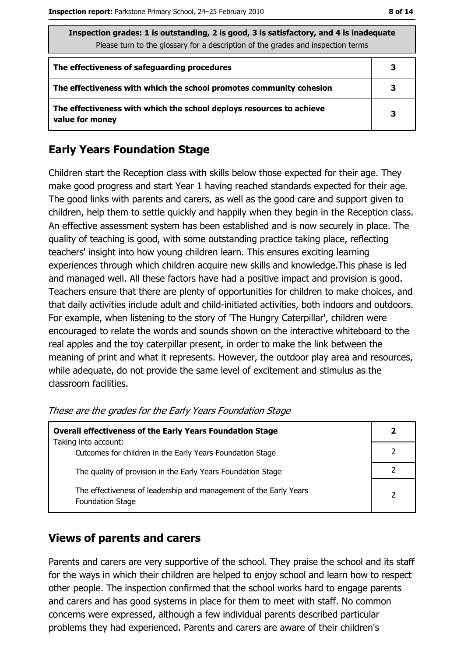| Inspection grades: 1 is outstanding, 2 is good, 3 is satisfactory, and 4 is inadequate<br>Please turn to the glossary for a description of the grades and inspection terms |   |  |
|----------------------------------------------------------------------------------------------------------------------------------------------------------------------------|---|--|
| The effectiveness of safeguarding procedures                                                                                                                               | з |  |
| The effectiveness with which the school promotes community cohesion                                                                                                        |   |  |
| The effectiveness with which the school deploys resources to achieve<br>value for money                                                                                    |   |  |

## **Early Years Foundation Stage**

Children start the Reception class with skills below those expected for their age. They make good progress and start Year 1 having reached standards expected for their age. The good links with parents and carers, as well as the good care and support given to children, help them to settle quickly and happily when they begin in the Reception class. An effective assessment system has been established and is now securely in place. The quality of teaching is good, with some outstanding practice taking place, reflecting teachers' insight into how young children learn. This ensures exciting learning experiences through which children acquire new skills and knowledge. This phase is led and managed well. All these factors have had a positive impact and provision is good. Teachers ensure that there are plenty of opportunities for children to make choices, and that daily activities include adult and child-initiated activities, both indoors and outdoors. For example, when listening to the story of 'The Hungry Caterpillar', children were encouraged to relate the words and sounds shown on the interactive whiteboard to the real apples and the toy caterpillar present, in order to make the link between the meaning of print and what it represents. However, the outdoor play area and resources, while adequate, do not provide the same level of excitement and stimulus as the classroom facilities.

| <b>Overall effectiveness of the Early Years Foundation Stage</b>                             |                |  |
|----------------------------------------------------------------------------------------------|----------------|--|
| Taking into account:<br>Outcomes for children in the Early Years Foundation Stage            |                |  |
|                                                                                              |                |  |
| The quality of provision in the Early Years Foundation Stage                                 |                |  |
| The effectiveness of leadership and management of the Early Years<br><b>Foundation Stage</b> | $\overline{2}$ |  |

These are the grades for the Early Years Foundation Stage

## **Views of parents and carers**

Parents and carers are very supportive of the school. They praise the school and its staff for the ways in which their children are helped to enjoy school and learn how to respect other people. The inspection confirmed that the school works hard to engage parents and carers and has good systems in place for them to meet with staff. No common concerns were expressed, although a few individual parents described particular problems they had experienced. Parents and carers are aware of their children's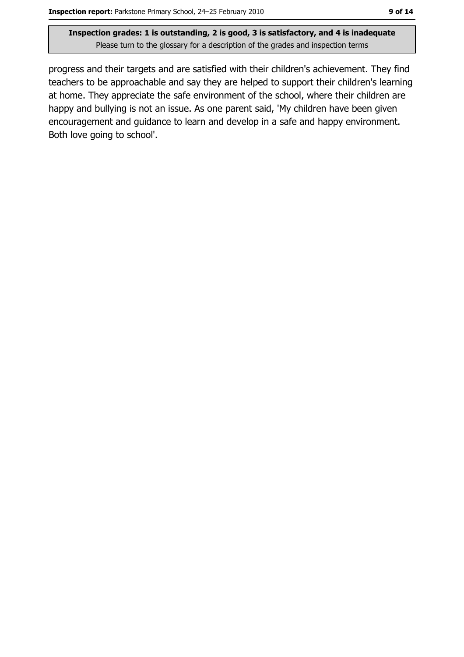progress and their targets and are satisfied with their children's achievement. They find teachers to be approachable and say they are helped to support their children's learning at home. They appreciate the safe environment of the school, where their children are happy and bullying is not an issue. As one parent said, 'My children have been given encouragement and guidance to learn and develop in a safe and happy environment. Both love going to school'.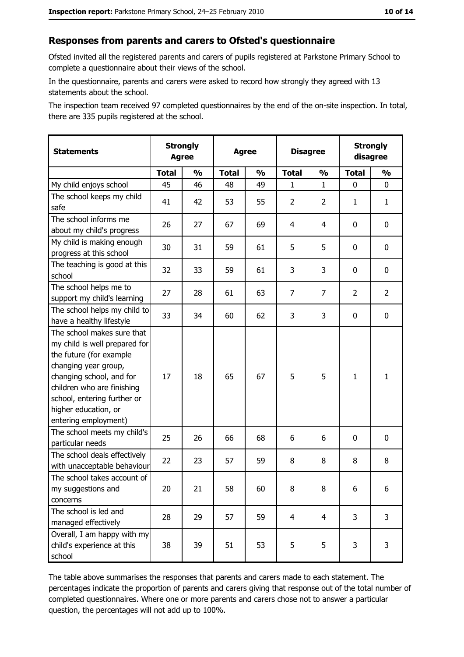#### Responses from parents and carers to Ofsted's questionnaire

Ofsted invited all the registered parents and carers of pupils registered at Parkstone Primary School to complete a questionnaire about their views of the school.

In the questionnaire, parents and carers were asked to record how strongly they agreed with 13 statements about the school.

The inspection team received 97 completed questionnaires by the end of the on-site inspection. In total, there are 335 pupils registered at the school.

| <b>Statements</b>                                                                                                                                                                                                                                       | <b>Strongly</b><br><b>Agree</b> |               | <b>Agree</b> |               | <b>Disagree</b> |                | <b>Strongly</b><br>disagree |                |
|---------------------------------------------------------------------------------------------------------------------------------------------------------------------------------------------------------------------------------------------------------|---------------------------------|---------------|--------------|---------------|-----------------|----------------|-----------------------------|----------------|
|                                                                                                                                                                                                                                                         | <b>Total</b>                    | $\frac{1}{2}$ | <b>Total</b> | $\frac{0}{0}$ | <b>Total</b>    | $\frac{0}{0}$  | <b>Total</b>                | $\frac{1}{2}$  |
| My child enjoys school                                                                                                                                                                                                                                  | 45                              | 46            | 48           | 49            | 1               | $\mathbf{1}$   | 0                           | 0              |
| The school keeps my child<br>safe                                                                                                                                                                                                                       | 41                              | 42            | 53           | 55            | $\overline{2}$  | 2              | 1                           | $\mathbf{1}$   |
| The school informs me<br>about my child's progress                                                                                                                                                                                                      | 26                              | 27            | 67           | 69            | 4               | 4              | $\mathbf{0}$                | 0              |
| My child is making enough<br>progress at this school                                                                                                                                                                                                    | 30                              | 31            | 59           | 61            | 5               | 5              | 0                           | 0              |
| The teaching is good at this<br>school                                                                                                                                                                                                                  | 32                              | 33            | 59           | 61            | 3               | 3              | 0                           | 0              |
| The school helps me to<br>support my child's learning                                                                                                                                                                                                   | 27                              | 28            | 61           | 63            | $\overline{7}$  | 7              | 2                           | $\overline{2}$ |
| The school helps my child to<br>have a healthy lifestyle                                                                                                                                                                                                | 33                              | 34            | 60           | 62            | 3               | 3              | 0                           | 0              |
| The school makes sure that<br>my child is well prepared for<br>the future (for example<br>changing year group,<br>changing school, and for<br>children who are finishing<br>school, entering further or<br>higher education, or<br>entering employment) | 17                              | 18            | 65           | 67            | 5               | 5              | $\mathbf{1}$                | $\mathbf{1}$   |
| The school meets my child's<br>particular needs                                                                                                                                                                                                         | 25                              | 26            | 66           | 68            | 6               | 6              | 0                           | 0              |
| The school deals effectively<br>with unacceptable behaviour                                                                                                                                                                                             | 22                              | 23            | 57           | 59            | 8               | 8              | 8                           | 8              |
| The school takes account of<br>my suggestions and<br>concerns                                                                                                                                                                                           | 20                              | 21            | 58           | 60            | 8               | 8              | 6                           | 6              |
| The school is led and<br>managed effectively                                                                                                                                                                                                            | 28                              | 29            | 57           | 59            | $\overline{4}$  | $\overline{4}$ | 3                           | $\overline{3}$ |
| Overall, I am happy with my<br>child's experience at this<br>school                                                                                                                                                                                     | 38                              | 39            | 51           | 53            | 5               | 5              | 3                           | 3              |

The table above summarises the responses that parents and carers made to each statement. The percentages indicate the proportion of parents and carers giving that response out of the total number of completed questionnaires. Where one or more parents and carers chose not to answer a particular question, the percentages will not add up to 100%.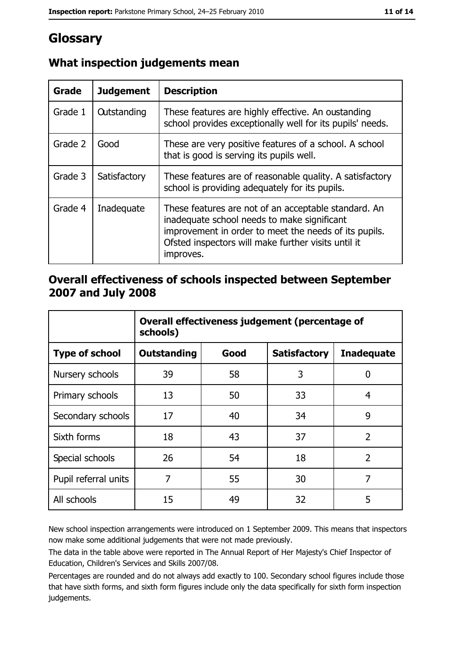# Glossary

| Grade   | <b>Judgement</b>   | <b>Description</b>                                                                                                                                                                                                               |  |
|---------|--------------------|----------------------------------------------------------------------------------------------------------------------------------------------------------------------------------------------------------------------------------|--|
| Grade 1 | <b>Outstanding</b> | These features are highly effective. An oustanding<br>school provides exceptionally well for its pupils' needs.                                                                                                                  |  |
| Grade 2 | Good               | These are very positive features of a school. A school<br>that is good is serving its pupils well.                                                                                                                               |  |
| Grade 3 | Satisfactory       | These features are of reasonable quality. A satisfactory<br>school is providing adequately for its pupils.                                                                                                                       |  |
| Grade 4 | Inadequate         | These features are not of an acceptable standard. An<br>inadequate school needs to make significant<br>improvement in order to meet the needs of its pupils.<br>Ofsted inspectors will make further visits until it<br>improves. |  |

## What inspection judgements mean

### Overall effectiveness of schools inspected between September 2007 and July 2008

|                       | Overall effectiveness judgement (percentage of<br>schools) |      |                     |                   |
|-----------------------|------------------------------------------------------------|------|---------------------|-------------------|
| <b>Type of school</b> | Outstanding                                                | Good | <b>Satisfactory</b> | <b>Inadequate</b> |
| Nursery schools       | 39                                                         | 58   | 3                   | 0                 |
| Primary schools       | 13                                                         | 50   | 33                  | 4                 |
| Secondary schools     | 17                                                         | 40   | 34                  | 9                 |
| Sixth forms           | 18                                                         | 43   | 37                  | $\overline{2}$    |
| Special schools       | 26                                                         | 54   | 18                  | $\overline{2}$    |
| Pupil referral units  | 7                                                          | 55   | 30                  | 7                 |
| All schools           | 15                                                         | 49   | 32                  | 5                 |

New school inspection arrangements were introduced on 1 September 2009. This means that inspectors now make some additional judgements that were not made previously.

The data in the table above were reported in The Annual Report of Her Majesty's Chief Inspector of Education, Children's Services and Skills 2007/08.

Percentages are rounded and do not always add exactly to 100. Secondary school figures include those that have sixth forms, and sixth form figures include only the data specifically for sixth form inspection judgements.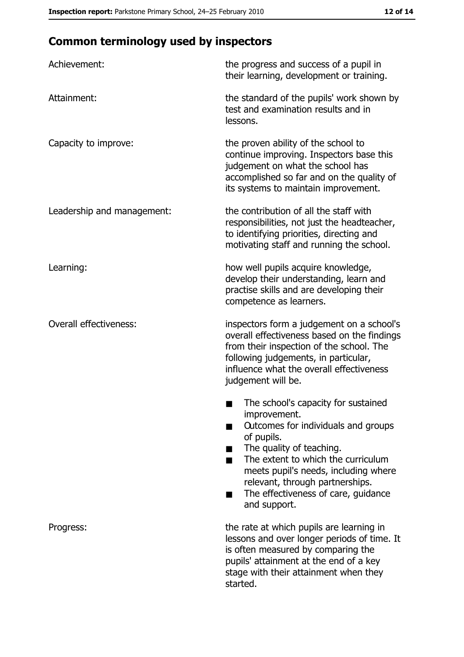# **Common terminology used by inspectors**

| Achievement:                  | the progress and success of a pupil in<br>their learning, development or training.                                                                                                                                                                                                                           |
|-------------------------------|--------------------------------------------------------------------------------------------------------------------------------------------------------------------------------------------------------------------------------------------------------------------------------------------------------------|
| Attainment:                   | the standard of the pupils' work shown by<br>test and examination results and in<br>lessons.                                                                                                                                                                                                                 |
| Capacity to improve:          | the proven ability of the school to<br>continue improving. Inspectors base this<br>judgement on what the school has<br>accomplished so far and on the quality of<br>its systems to maintain improvement.                                                                                                     |
| Leadership and management:    | the contribution of all the staff with<br>responsibilities, not just the headteacher,<br>to identifying priorities, directing and<br>motivating staff and running the school.                                                                                                                                |
| Learning:                     | how well pupils acquire knowledge,<br>develop their understanding, learn and<br>practise skills and are developing their<br>competence as learners.                                                                                                                                                          |
| <b>Overall effectiveness:</b> | inspectors form a judgement on a school's<br>overall effectiveness based on the findings<br>from their inspection of the school. The<br>following judgements, in particular,<br>influence what the overall effectiveness<br>judgement will be.                                                               |
|                               | The school's capacity for sustained<br>improvement.<br>Outcomes for individuals and groups<br>of pupils.<br>The quality of teaching.<br>The extent to which the curriculum<br>meets pupil's needs, including where<br>relevant, through partnerships.<br>The effectiveness of care, guidance<br>and support. |
| Progress:                     | the rate at which pupils are learning in<br>lessons and over longer periods of time. It<br>is often measured by comparing the<br>pupils' attainment at the end of a key<br>stage with their attainment when they<br>started.                                                                                 |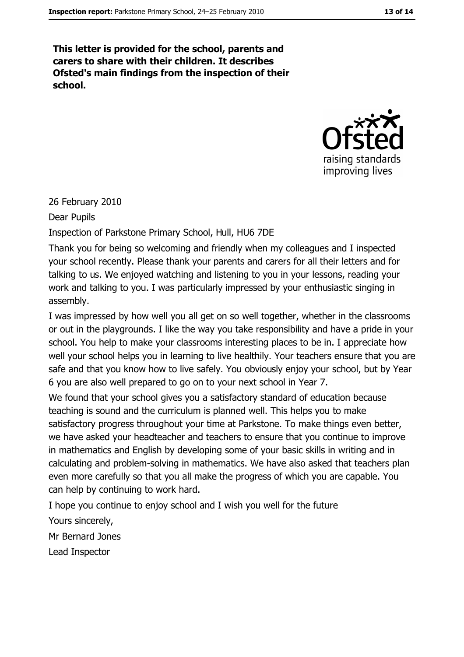This letter is provided for the school, parents and carers to share with their children. It describes Ofsted's main findings from the inspection of their school.



26 February 2010

Dear Pupils

Inspection of Parkstone Primary School, Hull, HU6 7DE

Thank you for being so welcoming and friendly when my colleagues and I inspected your school recently. Please thank your parents and carers for all their letters and for talking to us. We enjoyed watching and listening to you in your lessons, reading your work and talking to you. I was particularly impressed by your enthusiastic singing in assembly.

I was impressed by how well you all get on so well together, whether in the classrooms or out in the playgrounds. I like the way you take responsibility and have a pride in your school. You help to make your classrooms interesting places to be in. I appreciate how well your school helps you in learning to live healthily. Your teachers ensure that you are safe and that you know how to live safely. You obviously enjoy your school, but by Year 6 you are also well prepared to go on to your next school in Year 7.

We found that your school gives you a satisfactory standard of education because teaching is sound and the curriculum is planned well. This helps you to make satisfactory progress throughout your time at Parkstone. To make things even better, we have asked your headteacher and teachers to ensure that you continue to improve in mathematics and English by developing some of your basic skills in writing and in calculating and problem-solving in mathematics. We have also asked that teachers plan even more carefully so that you all make the progress of which you are capable. You can help by continuing to work hard.

I hope you continue to enjoy school and I wish you well for the future

Yours sincerely,

Mr Bernard Jones

Lead Inspector